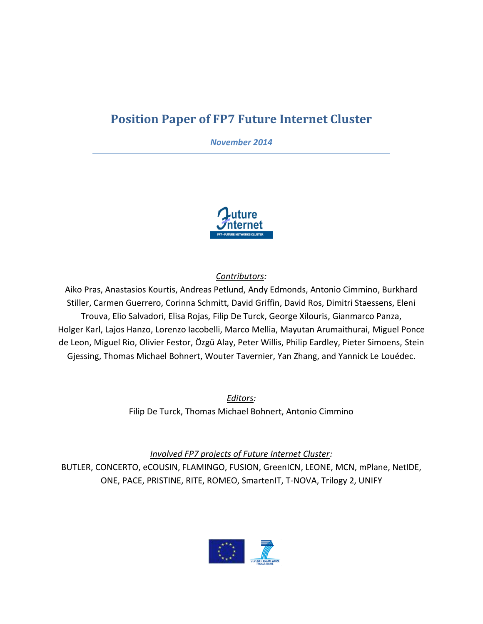# **Position Paper of FP7 Future Internet Cluster**

*November 2014*



*Contributors:* 

Aiko Pras, Anastasios Kourtis, Andreas Petlund, Andy Edmonds, Antonio Cimmino, Burkhard Stiller, Carmen Guerrero, Corinna Schmitt, David Griffin, David Ros, Dimitri Staessens, Eleni Trouva, Elio Salvadori, Elisa Rojas, Filip De Turck, George Xilouris, Gianmarco Panza, Holger Karl, Lajos Hanzo, Lorenzo Iacobelli, Marco Mellia, Mayutan Arumaithurai, Miguel Ponce de Leon, Miguel Rio, Olivier Festor, Özgü Alay, Peter Willis, Philip Eardley, Pieter Simoens, Stein Gjessing, Thomas Michael Bohnert, Wouter Tavernier, Yan Zhang, and Yannick Le Louédec.

> *Editors:* Filip De Turck, Thomas Michael Bohnert, Antonio Cimmino

*Involved FP7 projects of Future Internet Cluster:*  BUTLER, CONCERTO, eCOUSIN, FLAMINGO, FUSION, GreenICN, LEONE, MCN, mPlane, NetIDE, ONE, PACE, PRISTINE, RITE, ROMEO, SmartenIT, T-NOVA, Trilogy 2, UNIFY

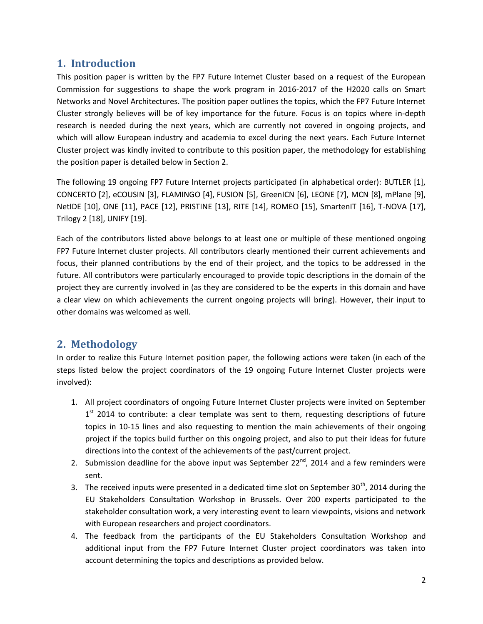### **1. Introduction**

This position paper is written by the FP7 Future Internet Cluster based on a request of the European Commission for suggestions to shape the work program in 2016-2017 of the H2020 calls on Smart Networks and Novel Architectures. The position paper outlines the topics, which the FP7 Future Internet Cluster strongly believes will be of key importance for the future. Focus is on topics where in-depth research is needed during the next years, which are currently not covered in ongoing projects, and which will allow European industry and academia to excel during the next years. Each Future Internet Cluster project was kindly invited to contribute to this position paper, the methodology for establishing the position paper is detailed below in Section 2.

The following 19 ongoing FP7 Future Internet projects participated (in alphabetical order): BUTLER [1], CONCERTO [2], eCOUSIN [3], FLAMINGO [4], FUSION [5], GreenICN [6], LEONE [7], MCN [8], mPlane [9], NetIDE [10], ONE [11], PACE [12], PRISTINE [13], RITE [14], ROMEO [15], SmartenIT [16], T-NOVA [17], Trilogy 2 [18], UNIFY [19].

Each of the contributors listed above belongs to at least one or multiple of these mentioned ongoing FP7 Future Internet cluster projects. All contributors clearly mentioned their current achievements and focus, their planned contributions by the end of their project, and the topics to be addressed in the future. All contributors were particularly encouraged to provide topic descriptions in the domain of the project they are currently involved in (as they are considered to be the experts in this domain and have a clear view on which achievements the current ongoing projects will bring). However, their input to other domains was welcomed as well.

## **2. Methodology**

In order to realize this Future Internet position paper, the following actions were taken (in each of the steps listed below the project coordinators of the 19 ongoing Future Internet Cluster projects were involved):

- 1. All project coordinators of ongoing Future Internet Cluster projects were invited on September 1<sup>st</sup> 2014 to contribute: a clear template was sent to them, requesting descriptions of future topics in 10-15 lines and also requesting to mention the main achievements of their ongoing project if the topics build further on this ongoing project, and also to put their ideas for future directions into the context of the achievements of the past/current project.
- 2. Submission deadline for the above input was September  $22^{nd}$ , 2014 and a few reminders were sent.
- 3. The received inputs were presented in a dedicated time slot on September  $30<sup>th</sup>$ , 2014 during the EU Stakeholders Consultation Workshop in Brussels. Over 200 experts participated to the stakeholder consultation work, a very interesting event to learn viewpoints, visions and network with European researchers and project coordinators.
- 4. The feedback from the participants of the EU Stakeholders Consultation Workshop and additional input from the FP7 Future Internet Cluster project coordinators was taken into account determining the topics and descriptions as provided below.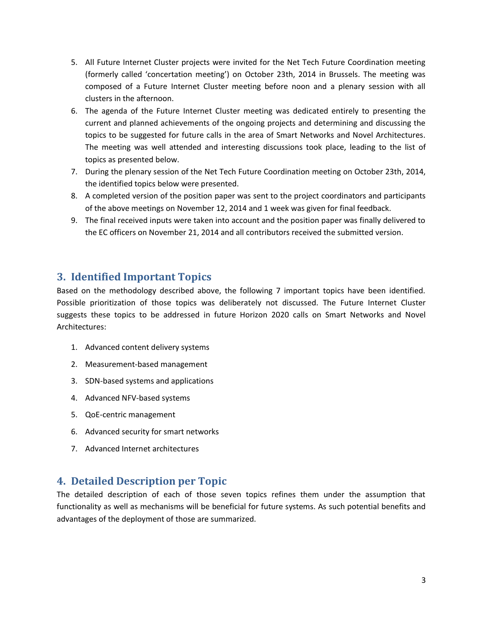- 5. All Future Internet Cluster projects were invited for the Net Tech Future Coordination meeting (formerly called 'concertation meeting') on October 23th, 2014 in Brussels. The meeting was composed of a Future Internet Cluster meeting before noon and a plenary session with all clusters in the afternoon.
- 6. The agenda of the Future Internet Cluster meeting was dedicated entirely to presenting the current and planned achievements of the ongoing projects and determining and discussing the topics to be suggested for future calls in the area of Smart Networks and Novel Architectures. The meeting was well attended and interesting discussions took place, leading to the list of topics as presented below.
- 7. During the plenary session of the Net Tech Future Coordination meeting on October 23th, 2014, the identified topics below were presented.
- 8. A completed version of the position paper was sent to the project coordinators and participants of the above meetings on November 12, 2014 and 1 week was given for final feedback.
- 9. The final received inputs were taken into account and the position paper was finally delivered to the EC officers on November 21, 2014 and all contributors received the submitted version.

## **3. Identified Important Topics**

Based on the methodology described above, the following 7 important topics have been identified. Possible prioritization of those topics was deliberately not discussed. The Future Internet Cluster suggests these topics to be addressed in future Horizon 2020 calls on Smart Networks and Novel Architectures:

- 1. Advanced content delivery systems
- 2. Measurement-based management
- 3. SDN-based systems and applications
- 4. Advanced NFV-based systems
- 5. QoE-centric management
- 6. Advanced security for smart networks
- 7. Advanced Internet architectures

## **4. Detailed Description per Topic**

The detailed description of each of those seven topics refines them under the assumption that functionality as well as mechanisms will be beneficial for future systems. As such potential benefits and advantages of the deployment of those are summarized.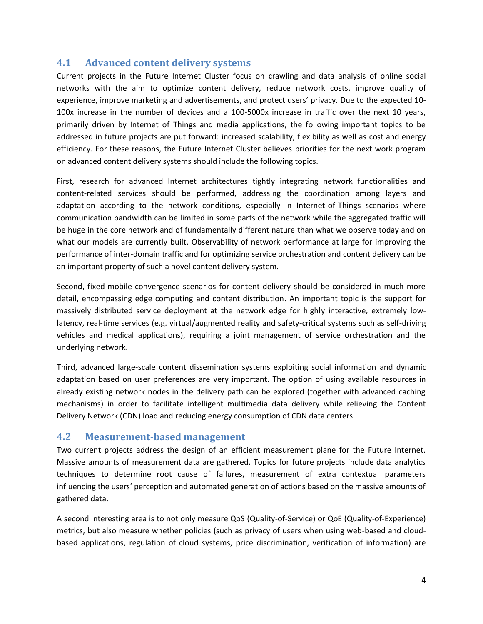#### **4.1 Advanced content delivery systems**

Current projects in the Future Internet Cluster focus on crawling and data analysis of online social networks with the aim to optimize content delivery, reduce network costs, improve quality of experience, improve marketing and advertisements, and protect users' privacy. Due to the expected 10- 100x increase in the number of devices and a 100-5000x increase in traffic over the next 10 years, primarily driven by Internet of Things and media applications, the following important topics to be addressed in future projects are put forward: increased scalability, flexibility as well as cost and energy efficiency. For these reasons, the Future Internet Cluster believes priorities for the next work program on advanced content delivery systems should include the following topics.

First, research for advanced Internet architectures tightly integrating network functionalities and content-related services should be performed, addressing the coordination among layers and adaptation according to the network conditions, especially in Internet-of-Things scenarios where communication bandwidth can be limited in some parts of the network while the aggregated traffic will be huge in the core network and of fundamentally different nature than what we observe today and on what our models are currently built. Observability of network performance at large for improving the performance of inter-domain traffic and for optimizing service orchestration and content delivery can be an important property of such a novel content delivery system.

Second, fixed-mobile convergence scenarios for content delivery should be considered in much more detail, encompassing edge computing and content distribution. An important topic is the support for massively distributed service deployment at the network edge for highly interactive, extremely lowlatency, real-time services (e.g. virtual/augmented reality and safety-critical systems such as self-driving vehicles and medical applications), requiring a joint management of service orchestration and the underlying network.

Third, advanced large-scale content dissemination systems exploiting social information and dynamic adaptation based on user preferences are very important. The option of using available resources in already existing network nodes in the delivery path can be explored (together with advanced caching mechanisms) in order to facilitate intelligent multimedia data delivery while relieving the Content Delivery Network (CDN) load and reducing energy consumption of CDN data centers.

#### **4.2 Measurement-based management**

Two current projects address the design of an efficient measurement plane for the Future Internet. Massive amounts of measurement data are gathered. Topics for future projects include data analytics techniques to determine root cause of failures, measurement of extra contextual parameters influencing the users' perception and automated generation of actions based on the massive amounts of gathered data.

A second interesting area is to not only measure QoS (Quality-of-Service) or QoE (Quality-of-Experience) metrics, but also measure whether policies (such as privacy of users when using web-based and cloudbased applications, regulation of cloud systems, price discrimination, verification of information) are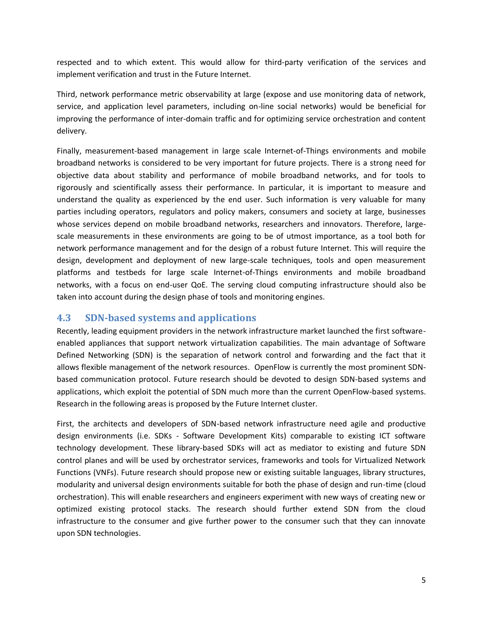respected and to which extent. This would allow for third-party verification of the services and implement verification and trust in the Future Internet.

Third, network performance metric observability at large (expose and use monitoring data of network, service, and application level parameters, including on-line social networks) would be beneficial for improving the performance of inter-domain traffic and for optimizing service orchestration and content delivery.

Finally, measurement-based management in large scale Internet-of-Things environments and mobile broadband networks is considered to be very important for future projects. There is a strong need for objective data about stability and performance of mobile broadband networks, and for tools to rigorously and scientifically assess their performance. In particular, it is important to measure and understand the quality as experienced by the end user. Such information is very valuable for many parties including operators, regulators and policy makers, consumers and society at large, businesses whose services depend on mobile broadband networks, researchers and innovators. Therefore, largescale measurements in these environments are going to be of utmost importance, as a tool both for network performance management and for the design of a robust future Internet. This will require the design, development and deployment of new large-scale techniques, tools and open measurement platforms and testbeds for large scale Internet-of-Things environments and mobile broadband networks, with a focus on end-user QoE. The serving cloud computing infrastructure should also be taken into account during the design phase of tools and monitoring engines.

#### **4.3 SDN-based systems and applications**

Recently, leading equipment providers in the network infrastructure market launched the first softwareenabled appliances that support network virtualization capabilities. The main advantage of Software Defined Networking (SDN) is the separation of network control and forwarding and the fact that it allows flexible management of the network resources. OpenFlow is currently the most prominent SDNbased communication protocol. Future research should be devoted to design SDN-based systems and applications, which exploit the potential of SDN much more than the current OpenFlow-based systems. Research in the following areas is proposed by the Future Internet cluster.

First, the architects and developers of SDN-based network infrastructure need agile and productive design environments (i.e. SDKs - Software Development Kits) comparable to existing ICT software technology development. These library-based SDKs will act as mediator to existing and future SDN control planes and will be used by orchestrator services, frameworks and tools for Virtualized Network Functions (VNFs). Future research should propose new or existing suitable languages, library structures, modularity and universal design environments suitable for both the phase of design and run-time (cloud orchestration). This will enable researchers and engineers experiment with new ways of creating new or optimized existing protocol stacks. The research should further extend SDN from the cloud infrastructure to the consumer and give further power to the consumer such that they can innovate upon SDN technologies.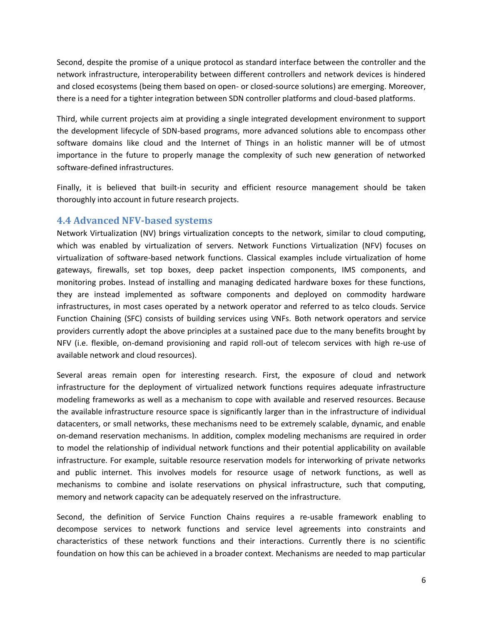Second, despite the promise of a unique protocol as standard interface between the controller and the network infrastructure, interoperability between different controllers and network devices is hindered and closed ecosystems (being them based on open- or closed-source solutions) are emerging. Moreover, there is a need for a tighter integration between SDN controller platforms and cloud-based platforms.

Third, while current projects aim at providing a single integrated development environment to support the development lifecycle of SDN-based programs, more advanced solutions able to encompass other software domains like cloud and the Internet of Things in an holistic manner will be of utmost importance in the future to properly manage the complexity of such new generation of networked software-defined infrastructures.

Finally, it is believed that built-in security and efficient resource management should be taken thoroughly into account in future research projects.

#### **4.4 Advanced NFV-based systems**

Network Virtualization (NV) brings virtualization concepts to the network, similar to cloud computing, which was enabled by virtualization of servers. Network Functions Virtualization (NFV) focuses on virtualization of software-based network functions. Classical examples include virtualization of home gateways, firewalls, set top boxes, deep packet inspection components, IMS components, and monitoring probes. Instead of installing and managing dedicated hardware boxes for these functions, they are instead implemented as software components and deployed on commodity hardware infrastructures, in most cases operated by a network operator and referred to as telco clouds. Service Function Chaining (SFC) consists of building services using VNFs. Both network operators and service providers currently adopt the above principles at a sustained pace due to the many benefits brought by NFV (i.e. flexible, on-demand provisioning and rapid roll-out of telecom services with high re-use of available network and cloud resources).

Several areas remain open for interesting research. First, the exposure of cloud and network infrastructure for the deployment of virtualized network functions requires adequate infrastructure modeling frameworks as well as a mechanism to cope with available and reserved resources. Because the available infrastructure resource space is significantly larger than in the infrastructure of individual datacenters, or small networks, these mechanisms need to be extremely scalable, dynamic, and enable on-demand reservation mechanisms. In addition, complex modeling mechanisms are required in order to model the relationship of individual network functions and their potential applicability on available infrastructure. For example, suitable resource reservation models for interworking of private networks and public internet. This involves models for resource usage of network functions, as well as mechanisms to combine and isolate reservations on physical infrastructure, such that computing, memory and network capacity can be adequately reserved on the infrastructure.

Second, the definition of Service Function Chains requires a re-usable framework enabling to decompose services to network functions and service level agreements into constraints and characteristics of these network functions and their interactions. Currently there is no scientific foundation on how this can be achieved in a broader context. Mechanisms are needed to map particular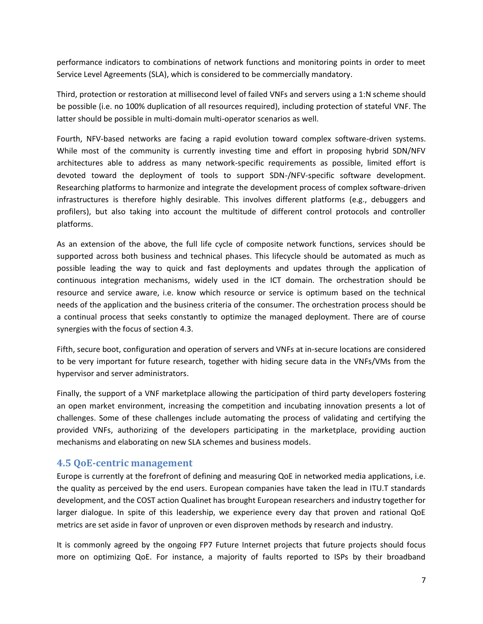performance indicators to combinations of network functions and monitoring points in order to meet Service Level Agreements (SLA), which is considered to be commercially mandatory.

Third, protection or restoration at millisecond level of failed VNFs and servers using a 1:N scheme should be possible (i.e. no 100% duplication of all resources required), including protection of stateful VNF. The latter should be possible in multi-domain multi-operator scenarios as well.

Fourth, NFV-based networks are facing a rapid evolution toward complex software-driven systems. While most of the community is currently investing time and effort in proposing hybrid SDN/NFV architectures able to address as many network-specific requirements as possible, limited effort is devoted toward the deployment of tools to support SDN-/NFV-specific software development. Researching platforms to harmonize and integrate the development process of complex software-driven infrastructures is therefore highly desirable. This involves different platforms (e.g., debuggers and profilers), but also taking into account the multitude of different control protocols and controller platforms.

As an extension of the above, the full life cycle of composite network functions, services should be supported across both business and technical phases. This lifecycle should be automated as much as possible leading the way to quick and fast deployments and updates through the application of continuous integration mechanisms, widely used in the ICT domain. The orchestration should be resource and service aware, i.e. know which resource or service is optimum based on the technical needs of the application and the business criteria of the consumer. The orchestration process should be a continual process that seeks constantly to optimize the managed deployment. There are of course synergies with the focus of section 4.3.

Fifth, secure boot, configuration and operation of servers and VNFs at in-secure locations are considered to be very important for future research, together with hiding secure data in the VNFs/VMs from the hypervisor and server administrators.

Finally, the support of a VNF marketplace allowing the participation of third party developers fostering an open market environment, increasing the competition and incubating innovation presents a lot of challenges. Some of these challenges include automating the process of validating and certifying the provided VNFs, authorizing of the developers participating in the marketplace, providing auction mechanisms and elaborating on new SLA schemes and business models.

#### **4.5 QoE-centric management**

Europe is currently at the forefront of defining and measuring QoE in networked media applications, i.e. the quality as perceived by the end users. European companies have taken the lead in ITU.T standards development, and the COST action Qualinet has brought European researchers and industry together for larger dialogue. In spite of this leadership, we experience every day that proven and rational QoE metrics are set aside in favor of unproven or even disproven methods by research and industry.

It is commonly agreed by the ongoing FP7 Future Internet projects that future projects should focus more on optimizing QoE. For instance, a majority of faults reported to ISPs by their broadband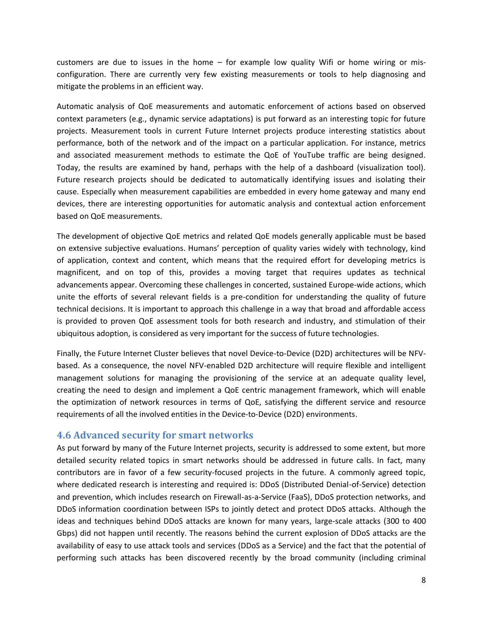customers are due to issues in the home – for example low quality Wifi or home wiring or misconfiguration. There are currently very few existing measurements or tools to help diagnosing and mitigate the problems in an efficient way.

Automatic analysis of QoE measurements and automatic enforcement of actions based on observed context parameters (e.g., dynamic service adaptations) is put forward as an interesting topic for future projects. Measurement tools in current Future Internet projects produce interesting statistics about performance, both of the network and of the impact on a particular application. For instance, metrics and associated measurement methods to estimate the QoE of YouTube traffic are being designed. Today, the results are examined by hand, perhaps with the help of a dashboard (visualization tool). Future research projects should be dedicated to automatically identifying issues and isolating their cause. Especially when measurement capabilities are embedded in every home gateway and many end devices, there are interesting opportunities for automatic analysis and contextual action enforcement based on QoE measurements.

The development of objective QoE metrics and related QoE models generally applicable must be based on extensive subjective evaluations. Humans' perception of quality varies widely with technology, kind of application, context and content, which means that the required effort for developing metrics is magnificent, and on top of this, provides a moving target that requires updates as technical advancements appear. Overcoming these challenges in concerted, sustained Europe-wide actions, which unite the efforts of several relevant fields is a pre-condition for understanding the quality of future technical decisions. It is important to approach this challenge in a way that broad and affordable access is provided to proven QoE assessment tools for both research and industry, and stimulation of their ubiquitous adoption, is considered as very important for the success of future technologies.

Finally, the Future Internet Cluster believes that novel Device-to-Device (D2D) architectures will be NFVbased. As a consequence, the novel NFV-enabled D2D architecture will require flexible and intelligent management solutions for managing the provisioning of the service at an adequate quality level, creating the need to design and implement a QoE centric management framework, which will enable the optimization of network resources in terms of QoE, satisfying the different service and resource requirements of all the involved entities in the Device-to-Device (D2D) environments.

#### **4.6 Advanced security for smart networks**

As put forward by many of the Future Internet projects, security is addressed to some extent, but more detailed security related topics in smart networks should be addressed in future calls. In fact, many contributors are in favor of a few security-focused projects in the future. A commonly agreed topic, where dedicated research is interesting and required is: DDoS (Distributed Denial-of-Service) detection and prevention, which includes research on Firewall-as-a-Service (FaaS), DDoS protection networks, and DDoS information coordination between ISPs to jointly detect and protect DDoS attacks. Although the ideas and techniques behind DDoS attacks are known for many years, large-scale attacks (300 to 400 Gbps) did not happen until recently. The reasons behind the current explosion of DDoS attacks are the availability of easy to use attack tools and services (DDoS as a Service) and the fact that the potential of performing such attacks has been discovered recently by the broad community (including criminal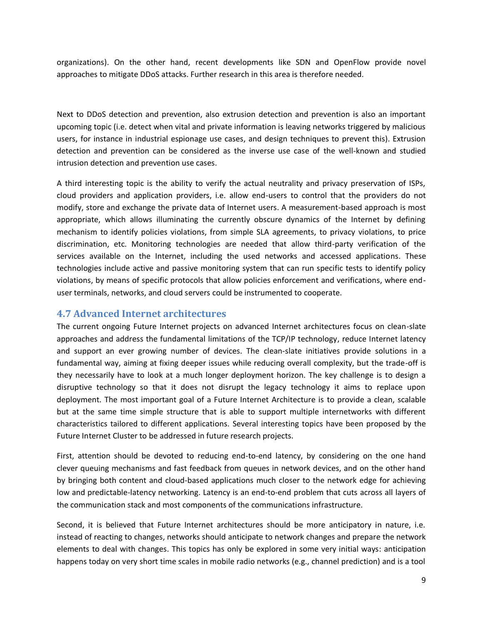organizations). On the other hand, recent developments like SDN and OpenFlow provide novel approaches to mitigate DDoS attacks. Further research in this area is therefore needed.

Next to DDoS detection and prevention, also extrusion detection and prevention is also an important upcoming topic (i.e. detect when vital and private information is leaving networks triggered by malicious users, for instance in industrial espionage use cases, and design techniques to prevent this). Extrusion detection and prevention can be considered as the inverse use case of the well-known and studied intrusion detection and prevention use cases.

A third interesting topic is the ability to verify the actual neutrality and privacy preservation of ISPs, cloud providers and application providers, i.e. allow end-users to control that the providers do not modify, store and exchange the private data of Internet users. A measurement-based approach is most appropriate, which allows illuminating the currently obscure dynamics of the Internet by defining mechanism to identify policies violations, from simple SLA agreements, to privacy violations, to price discrimination, etc. Monitoring technologies are needed that allow third-party verification of the services available on the Internet, including the used networks and accessed applications. These technologies include active and passive monitoring system that can run specific tests to identify policy violations, by means of specific protocols that allow policies enforcement and verifications, where enduser terminals, networks, and cloud servers could be instrumented to cooperate.

#### **4.7 Advanced Internet architectures**

The current ongoing Future Internet projects on advanced Internet architectures focus on clean-slate approaches and address the fundamental limitations of the TCP/IP technology, reduce Internet latency and support an ever growing number of devices. The clean-slate initiatives provide solutions in a fundamental way, aiming at fixing deeper issues while reducing overall complexity, but the trade-off is they necessarily have to look at a much longer deployment horizon. The key challenge is to design a disruptive technology so that it does not disrupt the legacy technology it aims to replace upon deployment. The most important goal of a Future Internet Architecture is to provide a clean, scalable but at the same time simple structure that is able to support multiple internetworks with different characteristics tailored to different applications. Several interesting topics have been proposed by the Future Internet Cluster to be addressed in future research projects.

First, attention should be devoted to reducing end-to-end latency, by considering on the one hand clever queuing mechanisms and fast feedback from queues in network devices, and on the other hand by bringing both content and cloud-based applications much closer to the network edge for achieving low and predictable-latency networking. Latency is an end-to-end problem that cuts across all layers of the communication stack and most components of the communications infrastructure.

Second, it is believed that Future Internet architectures should be more anticipatory in nature, i.e. instead of reacting to changes, networks should anticipate to network changes and prepare the network elements to deal with changes. This topics has only be explored in some very initial ways: anticipation happens today on very short time scales in mobile radio networks (e.g., channel prediction) and is a tool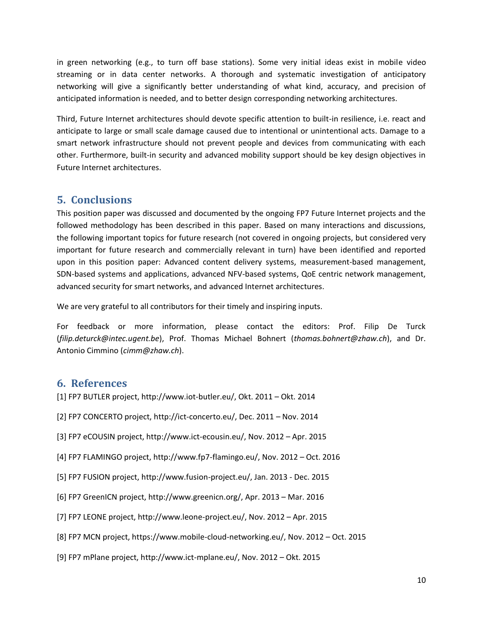in green networking (e.g., to turn off base stations). Some very initial ideas exist in mobile video streaming or in data center networks. A thorough and systematic investigation of anticipatory networking will give a significantly better understanding of what kind, accuracy, and precision of anticipated information is needed, and to better design corresponding networking architectures.

Third, Future Internet architectures should devote specific attention to built-in resilience, i.e. react and anticipate to large or small scale damage caused due to intentional or unintentional acts. Damage to a smart network infrastructure should not prevent people and devices from communicating with each other. Furthermore, built-in security and advanced mobility support should be key design objectives in Future Internet architectures.

### **5. Conclusions**

This position paper was discussed and documented by the ongoing FP7 Future Internet projects and the followed methodology has been described in this paper. Based on many interactions and discussions, the following important topics for future research (not covered in ongoing projects, but considered very important for future research and commercially relevant in turn) have been identified and reported upon in this position paper: Advanced content delivery systems, measurement-based management, SDN-based systems and applications, advanced NFV-based systems, QoE centric network management, advanced security for smart networks, and advanced Internet architectures.

We are very grateful to all contributors for their timely and inspiring inputs.

For feedback or more information, please contact the editors: Prof. Filip De Turck (*filip.deturck@intec.ugent.be*), Prof. Thomas Michael Bohnert (*thomas.bohnert@zhaw.ch*), and Dr. Antonio Cimmino (*cimm@zhaw.ch*).

### **6. References**

- [1] FP7 BUTLER project, http://www.iot-butler.eu/, Okt. 2011 Okt. 2014
- [2] FP7 CONCERTO project, http://ict-concerto.eu/, Dec. 2011 Nov. 2014
- [3] FP7 eCOUSIN project, http://www.ict-ecousin.eu/, Nov. 2012 Apr. 2015
- [4] FP7 FLAMINGO project, http://www.fp7-flamingo.eu/, Nov. 2012 Oct. 2016
- [5] FP7 FUSION project, http://www.fusion-project.eu/, Jan. 2013 Dec. 2015
- [6] FP7 GreenICN project, http://www.greenicn.org/, Apr. 2013 Mar. 2016
- [7] FP7 LEONE project, http://www.leone-project.eu/, Nov. 2012 Apr. 2015
- [8] FP7 MCN project, https://www.mobile-cloud-networking.eu/, Nov. 2012 Oct. 2015
- [9] FP7 mPlane project, http://www.ict-mplane.eu/, Nov. 2012 Okt. 2015